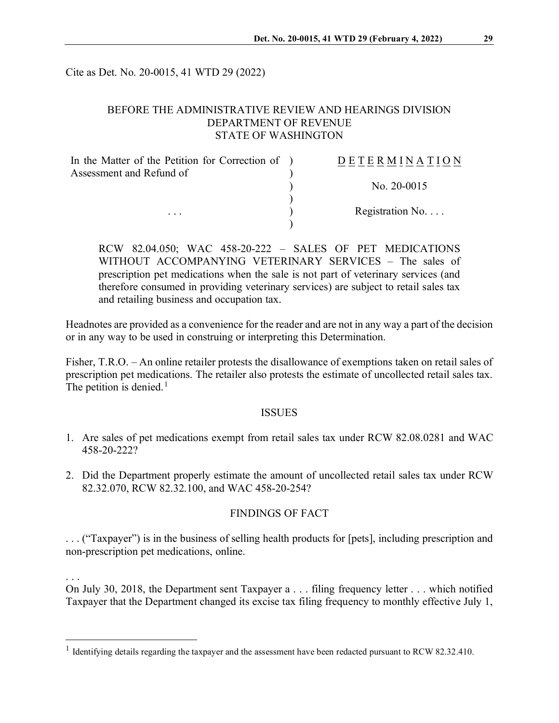Cite as Det. No. 20-0015, 41 WTD 29 (2022)

# BEFORE THE ADMINISTRATIVE REVIEW AND HEARINGS DIVISION DEPARTMENT OF REVENUE STATE OF WASHINGTON

| In the Matter of the Petition for Correction of ) | DETERMINATION            |
|---------------------------------------------------|--------------------------|
| Assessment and Refund of                          |                          |
|                                                   | No. $20-0015$            |
|                                                   |                          |
| $\cdots$                                          | Registration No. $\dots$ |
|                                                   |                          |

RCW 82.04.050; WAC 458-20-222 – SALES OF PET MEDICATIONS WITHOUT ACCOMPANYING VETERINARY SERVICES – The sales of prescription pet medications when the sale is not part of veterinary services (and therefore consumed in providing veterinary services) are subject to retail sales tax and retailing business and occupation tax.

Headnotes are provided as a convenience for the reader and are not in any way a part of the decision or in any way to be used in construing or interpreting this Determination.

Fisher, T.R.O. – An online retailer protests the disallowance of exemptions taken on retail sales of prescription pet medications. The retailer also protests the estimate of uncollected retail sales tax. The petition is denied.<sup>[1](#page-0-0)</sup>

#### **ISSUES**

- 1. Are sales of pet medications exempt from retail sales tax under RCW 82.08.0281 and WAC 458-20-222?
- 2. Did the Department properly estimate the amount of uncollected retail sales tax under RCW 82.32.070, RCW 82.32.100, and WAC 458-20-254?

### FINDINGS OF FACT

. . . ("Taxpayer") is in the business of selling health products for [pets], including prescription and non-prescription pet medications, online.

. . .

On July 30, 2018, the Department sent Taxpayer a . . . filing frequency letter . . . which notified Taxpayer that the Department changed its excise tax filing frequency to monthly effective July 1,

<span id="page-0-0"></span><sup>&</sup>lt;sup>1</sup> Identifying details regarding the taxpayer and the assessment have been redacted pursuant to RCW 82.32.410.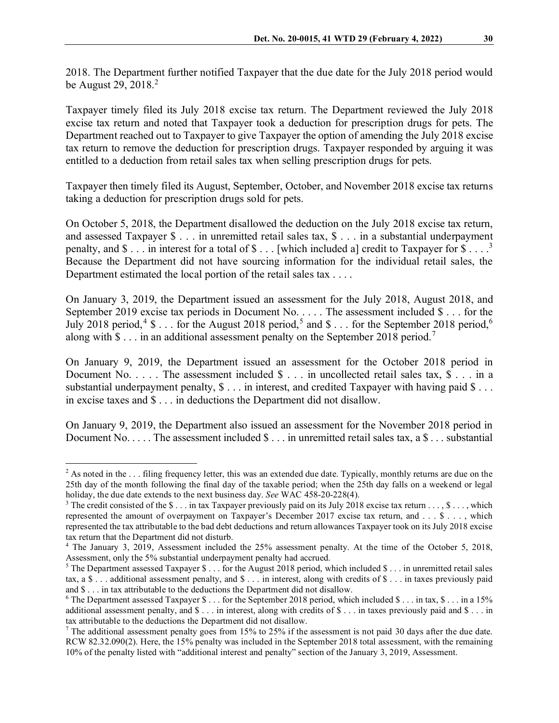2018. The Department further notified Taxpayer that the due date for the July 2018 period would be August [2](#page-1-0)9, 2018. $^2$ 

Taxpayer timely filed its July 2018 excise tax return. The Department reviewed the July 2018 excise tax return and noted that Taxpayer took a deduction for prescription drugs for pets. The Department reached out to Taxpayer to give Taxpayer the option of amending the July 2018 excise tax return to remove the deduction for prescription drugs. Taxpayer responded by arguing it was entitled to a deduction from retail sales tax when selling prescription drugs for pets.

Taxpayer then timely filed its August, September, October, and November 2018 excise tax returns taking a deduction for prescription drugs sold for pets.

On October 5, 2018, the Department disallowed the deduction on the July 2018 excise tax return, and assessed Taxpayer \$ . . . in unremitted retail sales tax, \$ . . . in a substantial underpayment penalty, and  $\$ \dots$  in interest for a total of  $\$ \dots$  [which included a] credit to Taxpayer for  $\$ \dots$ <sup>[3](#page-1-1)</sup> Because the Department did not have sourcing information for the individual retail sales, the Department estimated the local portion of the retail sales tax . . . .

On January 3, 2019, the Department issued an assessment for the July 2018, August 2018, and September 2019 excise tax periods in Document No. . . . . The assessment included \$ . . . for the July 2018 period,<sup>[4](#page-1-2)</sup> \$ . . . for the August 2018 period,<sup>[5](#page-1-3)</sup> and \$ . . . for the September 2018 period,<sup>[6](#page-1-4)</sup> along with  $\$\dots$  in an additional assessment penalty on the September 2018 period.<sup>[7](#page-1-5)</sup>

On January 9, 2019, the Department issued an assessment for the October 2018 period in Document No. . . . . The assessment included  $\hat{\mathcal{S}}$  . . . in uncollected retail sales tax,  $\hat{\mathcal{S}}$  . . . in a substantial underpayment penalty,  $\$\dots$  in interest, and credited Taxpayer with having paid  $\$\dots$ in excise taxes and \$ . . . in deductions the Department did not disallow.

On January 9, 2019, the Department also issued an assessment for the November 2018 period in Document No.  $\dots$ . The assessment included  $\text{\$} \dots$  in unremitted retail sales tax, a  $\text{\$} \dots$  substantial

<span id="page-1-0"></span> $2$  As noted in the ... filing frequency letter, this was an extended due date. Typically, monthly returns are due on the 25th day of the month following the final day of the taxable period; when the 25th day falls on a weekend or legal holiday, the due date extends to the next business day. *See* WAC 458-20-228(4).

<span id="page-1-1"></span> $3$  The credit consisted of the  $\$ \dots$  in tax Taxpayer previously paid on its July 2018 excise tax return  $\dots$ ,  $\$ \dots$ , which represented the amount of overpayment on Taxpayer's December 2017 excise tax return, and . . . \$ . . . , which represented the tax attributable to the bad debt deductions and return allowances Taxpayer took on its July 2018 excise tax return that the Department did not disturb.

<span id="page-1-2"></span><sup>&</sup>lt;sup>4</sup> The January 3, 2019, Assessment included the 25% assessment penalty. At the time of the October 5, 2018, Assessment, only the 5% substantial underpayment penalty had accrued.

<span id="page-1-3"></span><sup>&</sup>lt;sup>5</sup> The Department assessed Taxpayer  $\$\dots$  for the August 2018 period, which included  $\$\dots$  in unremitted retail sales tax, a  $\$\ldots$  additional assessment penalty, and  $\$\ldots$  in interest, along with credits of  $\$\ldots$  in taxes previously paid and \$ . . . in tax attributable to the deductions the Department did not disallow.

<span id="page-1-4"></span><sup>&</sup>lt;sup>6</sup> The Department assessed Taxpayer  $\$\dots$  for the September 2018 period, which included  $\$\dots$  in tax,  $\$\dots$  in a 15% additional assessment penalty, and \$ . . . in interest, along with credits of \$ . . . in taxes previously paid and \$ . . . in tax attributable to the deductions the Department did not disallow.

<span id="page-1-5"></span> $7$  The additional assessment penalty goes from 15% to 25% if the assessment is not paid 30 days after the due date. RCW 82.32.090(2). Here, the 15% penalty was included in the September 2018 total assessment, with the remaining 10% of the penalty listed with "additional interest and penalty" section of the January 3, 2019, Assessment.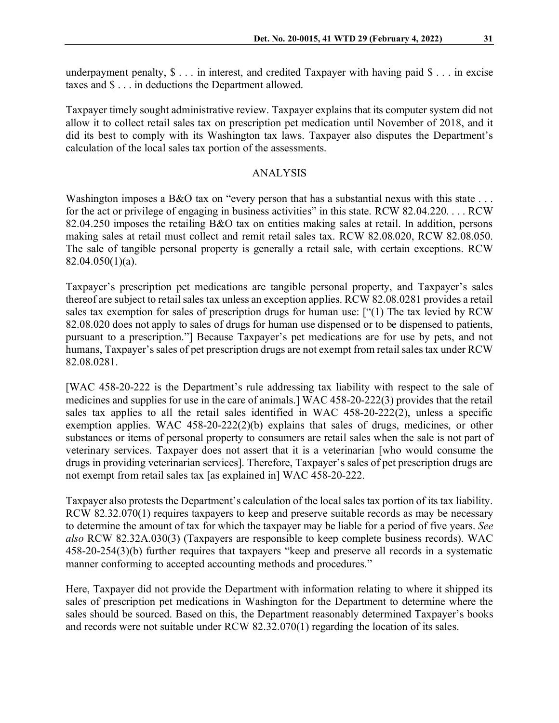underpayment penalty,  $\$\dots$$  in interest, and credited Taxpayer with having paid  $\$\dots$$  in excise taxes and \$ . . . in deductions the Department allowed.

Taxpayer timely sought administrative review. Taxpayer explains that its computer system did not allow it to collect retail sales tax on prescription pet medication until November of 2018, and it did its best to comply with its Washington tax laws. Taxpayer also disputes the Department's calculation of the local sales tax portion of the assessments.

## ANALYSIS

Washington imposes a B&O tax on "every person that has a substantial nexus with this state . . . for the act or privilege of engaging in business activities" in this state. RCW 82.04.220. . . . RCW 82.04.250 imposes the retailing B&O tax on entities making sales at retail. In addition, persons making sales at retail must collect and remit retail sales tax. RCW 82.08.020, RCW 82.08.050. The sale of tangible personal property is generally a retail sale, with certain exceptions. RCW 82.04.050(1)(a).

Taxpayer's prescription pet medications are tangible personal property, and Taxpayer's sales thereof are subject to retail sales tax unless an exception applies. RCW 82.08.0281 provides a retail sales tax exemption for sales of prescription drugs for human use: ["(1) The tax levied by RCW 82.08.020 does not apply to sales of drugs for human use dispensed or to be dispensed to patients, pursuant to a prescription."] Because Taxpayer's pet medications are for use by pets, and not humans, Taxpayer's sales of pet prescription drugs are not exempt from retail sales tax under RCW 82.08.0281.

[WAC 458-20-222 is the Department's rule addressing tax liability with respect to the sale of medicines and supplies for use in the care of animals.] WAC 458-20-222(3) provides that the retail sales tax applies to all the retail sales identified in WAC 458-20-222(2), unless a specific exemption applies. WAC 458-20-222(2)(b) explains that sales of drugs, medicines, or other substances or items of personal property to consumers are retail sales when the sale is not part of veterinary services. Taxpayer does not assert that it is a veterinarian [who would consume the drugs in providing veterinarian services]. Therefore, Taxpayer's sales of pet prescription drugs are not exempt from retail sales tax [as explained in] WAC 458-20-222.

Taxpayer also protests the Department's calculation of the local sales tax portion of its tax liability. RCW 82.32.070(1) requires taxpayers to keep and preserve suitable records as may be necessary to determine the amount of tax for which the taxpayer may be liable for a period of five years. *See also* RCW 82.32A.030(3) (Taxpayers are responsible to keep complete business records). WAC 458-20-254(3)(b) further requires that taxpayers "keep and preserve all records in a systematic manner conforming to accepted accounting methods and procedures."

Here, Taxpayer did not provide the Department with information relating to where it shipped its sales of prescription pet medications in Washington for the Department to determine where the sales should be sourced. Based on this, the Department reasonably determined Taxpayer's books and records were not suitable under RCW 82.32.070(1) regarding the location of its sales.